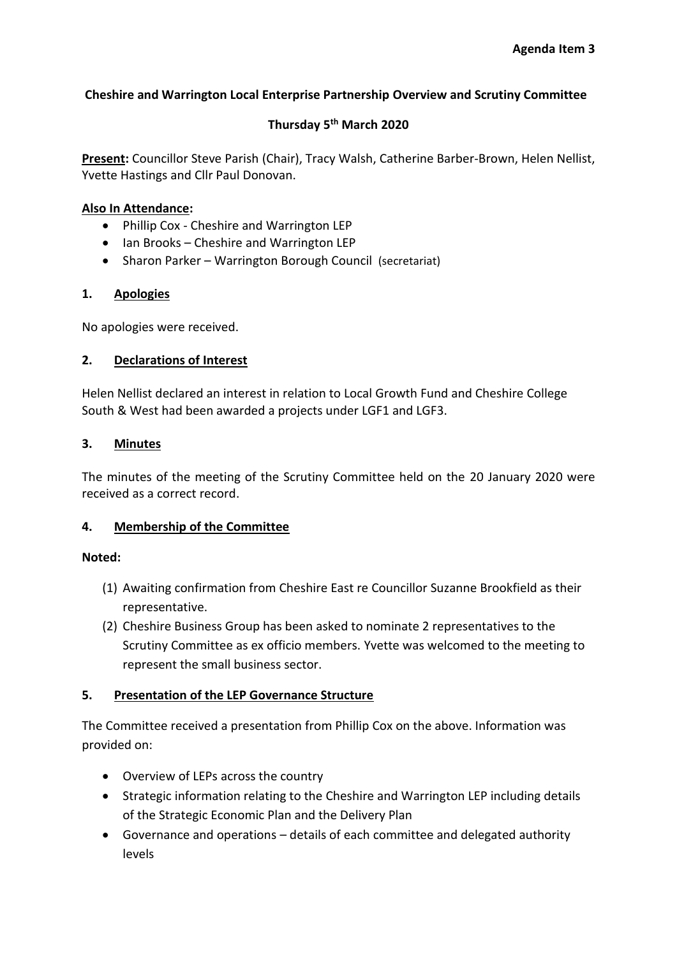## **Cheshire and Warrington Local Enterprise Partnership Overview and Scrutiny Committee**

# **Thursday 5th March 2020**

**Present:** Councillor Steve Parish (Chair), Tracy Walsh, Catherine Barber-Brown, Helen Nellist, Yvette Hastings and Cllr Paul Donovan.

## **Also In Attendance:**

- Phillip Cox Cheshire and Warrington LEP
- Ian Brooks Cheshire and Warrington LEP
- Sharon Parker Warrington Borough Council (secretariat)

## **1. Apologies**

No apologies were received.

## **2. Declarations of Interest**

Helen Nellist declared an interest in relation to Local Growth Fund and Cheshire College South & West had been awarded a projects under LGF1 and LGF3.

## **3. Minutes**

The minutes of the meeting of the Scrutiny Committee held on the 20 January 2020 were received as a correct record.

## **4. Membership of the Committee**

#### **Noted:**

- (1) Awaiting confirmation from Cheshire East re Councillor Suzanne Brookfield as their representative.
- (2) Cheshire Business Group has been asked to nominate 2 representatives to the Scrutiny Committee as ex officio members. Yvette was welcomed to the meeting to represent the small business sector.

## **5. Presentation of the LEP Governance Structure**

The Committee received a presentation from Phillip Cox on the above. Information was provided on:

- Overview of LEPs across the country
- Strategic information relating to the Cheshire and Warrington LEP including details of the Strategic Economic Plan and the Delivery Plan
- Governance and operations details of each committee and delegated authority levels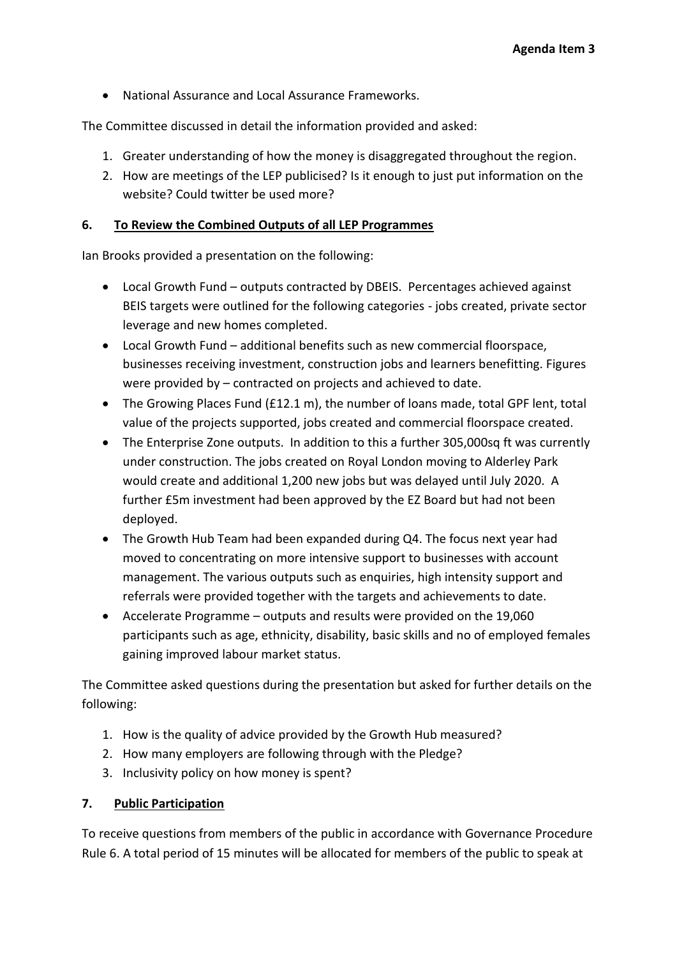• National Assurance and Local Assurance Frameworks.

The Committee discussed in detail the information provided and asked:

- 1. Greater understanding of how the money is disaggregated throughout the region.
- 2. How are meetings of the LEP publicised? Is it enough to just put information on the website? Could twitter be used more?

## **6. To Review the Combined Outputs of all LEP Programmes**

Ian Brooks provided a presentation on the following:

- Local Growth Fund outputs contracted by DBEIS. Percentages achieved against BEIS targets were outlined for the following categories - jobs created, private sector leverage and new homes completed.
- Local Growth Fund additional benefits such as new commercial floorspace, businesses receiving investment, construction jobs and learners benefitting. Figures were provided by – contracted on projects and achieved to date.
- The Growing Places Fund (£12.1 m), the number of loans made, total GPF lent, total value of the projects supported, jobs created and commercial floorspace created.
- The Enterprise Zone outputs. In addition to this a further 305,000sq ft was currently under construction. The jobs created on Royal London moving to Alderley Park would create and additional 1,200 new jobs but was delayed until July 2020. A further £5m investment had been approved by the EZ Board but had not been deployed.
- The Growth Hub Team had been expanded during Q4. The focus next year had moved to concentrating on more intensive support to businesses with account management. The various outputs such as enquiries, high intensity support and referrals were provided together with the targets and achievements to date.
- Accelerate Programme outputs and results were provided on the 19,060 participants such as age, ethnicity, disability, basic skills and no of employed females gaining improved labour market status.

The Committee asked questions during the presentation but asked for further details on the following:

- 1. How is the quality of advice provided by the Growth Hub measured?
- 2. How many employers are following through with the Pledge?
- 3. Inclusivity policy on how money is spent?

## **7. Public Participation**

To receive questions from members of the public in accordance with Governance Procedure Rule 6. A total period of 15 minutes will be allocated for members of the public to speak at